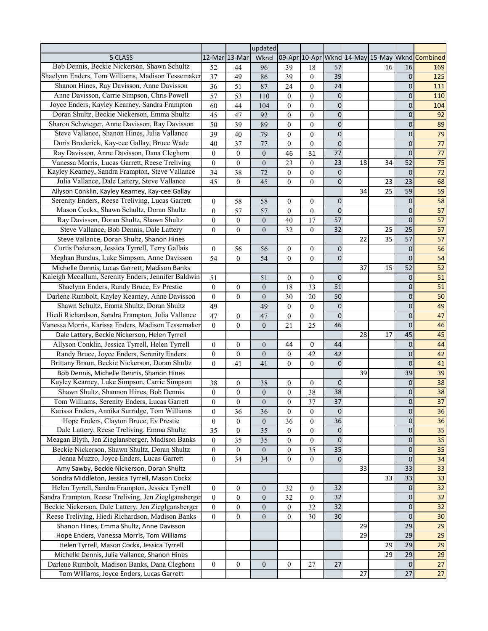|                                                      |                                  |                                      | updated                              |                          |                        |                 |    |    |                           |                                                |
|------------------------------------------------------|----------------------------------|--------------------------------------|--------------------------------------|--------------------------|------------------------|-----------------|----|----|---------------------------|------------------------------------------------|
| 5 CLASS                                              | 12-Mar                           | 13-Mar                               | Wknd                                 |                          |                        |                 |    |    |                           | 09-Apr 10-Apr Wknd 14-May 15-May Wknd Combined |
| Bob Dennis, Beckie Nickerson, Shawn Schultz          | 52                               | 44                                   | 96                                   | 39                       | 18                     | 57              |    | 16 | 16                        | 169                                            |
| Shaelynn Enders, Tom Williams, Madison Tessemaker    | 37                               | 49                                   | 86                                   | 39                       | $\mathbf{0}$           | 39              |    |    | 0                         | 125                                            |
| Shanon Hines, Ray Davisson, Anne Davisson            | 36                               | 51                                   | 87                                   | 24                       | $\boldsymbol{0}$       | 24              |    |    | 0                         | 111                                            |
| Anne Davisson, Carrie Simpson, Chris Powell          | 57                               | 53                                   | 110                                  | $\theta$                 | $\overline{0}$         | $\pmb{0}$       |    |    | 0                         | 110                                            |
| Joyce Enders, Kayley Kearney, Sandra Frampton        | 60                               | 44                                   | 104                                  | $\theta$                 | $\boldsymbol{0}$       | 0               |    |    | 0                         | 104                                            |
| Doran Shultz, Beckie Nickerson, Emma Shultz          | 45                               | 47                                   | 92                                   | $\theta$                 | $\boldsymbol{0}$       | 0               |    |    | 0                         | 92                                             |
| Sharon Schwieger, Anne Davisson, Ray Davisson        | 50                               | 39                                   | 89                                   | $\theta$                 | $\boldsymbol{0}$       | 0               |    |    | 0                         | 89                                             |
| Steve Vallance, Shanon Hines, Julia Vallance         | 39                               | 40                                   | 79                                   | $\theta$                 | $\boldsymbol{0}$       | 0               |    |    | $\mathbf 0$               | 79                                             |
| Doris Broderick, Kay-cee Gallay, Bruce Wade          | 40                               | 37                                   | 77                                   | $\theta$                 | $\boldsymbol{0}$       | 0               |    |    | $\mathbf 0$               | 77                                             |
| Ray Davisson, Anne Davisson, Dana Cleghorn           | $\boldsymbol{0}$                 | $\boldsymbol{0}$                     | $\boldsymbol{0}$                     | 46                       | 31                     | 77              |    |    | $\mathbf{0}$              | 77                                             |
| Vanessa Morris, Lucas Garrett, Reese Treliving       | $\overline{0}$                   | $\boldsymbol{0}$                     | $\boldsymbol{0}$                     | 23                       | $\overline{0}$         | 23              | 18 | 34 | 52                        | 75                                             |
| Kayley Kearney, Sandra Frampton, Steve Vallance      | 34                               | 38                                   | 72                                   | $\theta$                 | $\overline{0}$         | $\pmb{0}$       |    |    | $\mathbf{0}$              | 72                                             |
| Julia Vallance, Dale Lattery, Steve Vallance         | 45                               | $\boldsymbol{0}$                     | 45                                   | $\overline{0}$           | $\overline{0}$         | 0               |    | 23 | 23                        | 68                                             |
| Allyson Conklin, Kayley Kearney, Kay-cee Gallay      |                                  |                                      |                                      |                          |                        |                 | 34 | 25 | 59                        | 59                                             |
| Serenity Enders, Reese Treliving, Lucas Garrett      | $\overline{0}$                   | 58                                   | 58                                   | $\overline{0}$           | $\overline{0}$         | 0               |    |    | 0                         | 58                                             |
| Mason Cockx, Shawn Schultz, Doran Shultz             | $\boldsymbol{0}$                 | 57                                   | 57                                   | $\overline{0}$           | $\overline{0}$         | 0               |    |    | 0                         | $\overline{57}$                                |
| Ray Davisson, Doran Shultz, Shawn Shultz             | $\boldsymbol{0}$                 | $\boldsymbol{0}$                     | $\boldsymbol{0}$                     | 40                       | 17                     | 57              |    |    | $\mathbf 0$               | $\overline{57}$                                |
| Steve Vallance, Bob Dennis, Dale Lattery             | $\overline{0}$                   | $\boldsymbol{0}$                     | $\overline{0}$                       | 32                       | $\overline{0}$         | 32              |    | 25 | 25                        | $\overline{57}$                                |
| Steve Vallance, Doran Shultz, Shanon Hines           |                                  |                                      |                                      |                          |                        |                 | 22 | 35 | 57                        | $\overline{57}$                                |
| Curtis Pederson, Jessica Tyrrell, Terry Gallais      | $\boldsymbol{0}$                 | 56                                   | 56                                   | $\overline{0}$           | $\boldsymbol{0}$       | 0               |    |    | 0                         | $\overline{56}$                                |
| Meghan Bundus, Luke Simpson, Anne Davisson           | 54                               | $\boldsymbol{0}$                     | 54                                   | $\Omega$                 | $\overline{0}$         | 0               |    |    | $\mathbf 0$               | $\overline{54}$                                |
| Michelle Dennis, Lucas Garrett, Madison Banks        |                                  |                                      |                                      |                          |                        |                 | 37 | 15 | 52                        | $\overline{52}$                                |
| Kaleigh Mccallum, Serenity Enders, Jennifer Baldwin  | 51                               |                                      | 51                                   | $\theta$                 | $\boldsymbol{0}$       | 0               |    |    | $\mathbf 0$               | $\overline{51}$                                |
| Shaelynn Enders, Randy Bruce, Ev Prestie             | $\theta$                         | $\boldsymbol{0}$                     | $\boldsymbol{0}$                     | 18                       | 33                     | 51              |    |    | 0                         | $\overline{51}$                                |
| Darlene Rumbolt, Kayley Kearney, Anne Davisson       | $\mathbf{0}$                     | $\boldsymbol{0}$                     | $\boldsymbol{0}$                     | 30                       | $20\,$                 | 50              |    |    | $\mathbf 0$               | 50                                             |
| Shawn Schultz, Emma Shultz, Doran Shultz             | 49                               |                                      | 49                                   | $\theta$                 | $\overline{0}$         | 0               |    |    | $\mathbf 0$               | 49                                             |
| Hiedi Richardson, Sandra Frampton, Julia Vallance    | 47                               | $\boldsymbol{0}$                     | 47                                   | $\theta$                 | $\overline{0}$         | $\mathbf 0$     |    |    | $\mathbf 0$               | 47                                             |
| Vanessa Morris, Karissa Enders, Madison Tessemaker   | $\boldsymbol{0}$                 | $\boldsymbol{0}$                     | $\overline{0}$                       | 21                       | 25                     | 46              |    |    | $\mathbf 0$               | 46                                             |
| Dale Lattery, Beckie Nickerson, Helen Tyrrell        |                                  |                                      |                                      |                          |                        |                 | 28 | 17 | 45                        | 45                                             |
| Allyson Conklin, Jessica Tyrrell, Helen Tyrrell      | $\theta$                         | $\boldsymbol{0}$                     | $\boldsymbol{0}$                     | 44                       | 0                      | 44              |    |    | 0                         | 44                                             |
| Randy Bruce, Joyce Enders, Serenity Enders           | $\boldsymbol{0}$                 | $\boldsymbol{0}$                     | $\boldsymbol{0}$                     | $\theta$                 | 42                     | 42              |    |    | 0                         | 42                                             |
| Brittany Braun, Beckie Nickerson, Doran Shultz       | $\overline{0}$                   | 41                                   | 41                                   | $\theta$                 | $\boldsymbol{0}$       | 0               |    |    | $\mathbf 0$               | 41                                             |
| Bob Dennis, Michelle Dennis, Shanon Hines            |                                  |                                      |                                      |                          |                        |                 | 39 |    | 39                        | 39                                             |
| Kayley Kearney, Luke Simpson, Carrie Simpson         | 38                               | $\boldsymbol{0}$                     | 38                                   | $\theta$                 | $\boldsymbol{0}$       | 0               |    |    | 0                         | 38                                             |
| Shawn Shultz, Shannon Hines, Bob Dennis              | $\boldsymbol{0}$                 | $\boldsymbol{0}$                     | $\boldsymbol{0}$                     | $\theta$                 | 38                     | 38              |    |    | 0                         | 38                                             |
| Tom Williams, Serenity Enders, Lucas Garrett         |                                  |                                      |                                      |                          | 37                     | $\overline{37}$ |    |    |                           | $\overline{37}$                                |
| Karissa Enders, Annika Surridge, Tom Williams        | $\mathbf{0}$<br>$\overline{0}$   | $\mathbf{0}$<br>36                   | $\mathbf{0}$<br>36                   | $\mathbf{0}$<br>$\theta$ | $\boldsymbol{0}$       | $\mathbf 0$     |    |    | $\mathsf{U}$<br>$\pmb{0}$ | 36                                             |
| Hope Enders, Clayton Bruce, Ev Prestie               | $\boldsymbol{0}$                 | $\boldsymbol{0}$                     | $\boldsymbol{0}$                     | 36                       | $\mathbf{0}$           | 36              |    |    | $\mathbf 0$               | 36                                             |
| Dale Lattery, Reese Treliving, Emma Shultz           | 35                               | $\boldsymbol{0}$                     | 35                                   | $\overline{0}$           | $\boldsymbol{0}$       | 0               |    |    | $\mathbf 0$               | 35                                             |
| Meagan Blyth, Jen Zieglansberger, Madison Banks      | 0                                | 35                                   | 35                                   | $\overline{0}$           | $\boldsymbol{0}$       | $\mathbf 0$     |    |    | $\mathbf 0$               | 35                                             |
| Beckie Nickerson, Shawn Shultz, Doran Shultz         | $\boldsymbol{0}$                 | $\boldsymbol{0}$                     | $\boldsymbol{0}$                     | $\overline{0}$           | 35                     | 35              |    |    | $\mathbf 0$               | 35                                             |
| Jenna Muzzo, Joyce Enders, Lucas Garrett             | 0                                | 34                                   | 34                                   | $\overline{0}$           | $\boldsymbol{0}$       | $\mathbf 0$     |    |    | $\mathbf 0$               | 34                                             |
| Amy Sawby, Beckie Nickerson, Doran Shultz            |                                  |                                      |                                      |                          |                        |                 | 33 |    | 33                        | 33                                             |
| Sondra Middleton, Jessica Tyrrell, Mason Cockx       |                                  |                                      |                                      |                          |                        |                 |    | 33 | 33                        | 33                                             |
| Helen Tyrrell, Sandra Frampton, Jessica Tyrrell      |                                  |                                      |                                      | 32                       |                        | 32              |    |    | $\mathbf 0$               | 32                                             |
| Sandra Frampton, Reese Treliving, Jen Zieglgansberge | 0                                | $\boldsymbol{0}$                     | $\boldsymbol{0}$                     |                          | $\boldsymbol{0}$       | 32              |    |    | $\mathbf 0$               | 32                                             |
| Beckie Nickerson, Dale Lattery, Jen Zieglgansberger  | $\overline{0}$<br>$\overline{0}$ | $\boldsymbol{0}$<br>$\boldsymbol{0}$ | $\boldsymbol{0}$<br>$\boldsymbol{0}$ | 32<br>$\boldsymbol{0}$   | $\boldsymbol{0}$<br>32 | 32              |    |    | $\mathbf 0$               | 32                                             |
| Reese Treliving, Hiedi Richardson, Madison Banks     | $\boldsymbol{0}$                 | $\boldsymbol{0}$                     | $\overline{0}$                       | $\theta$                 | 30                     | 30              |    |    | $\mathbf 0$               | 30                                             |
| Shanon Hines, Emma Shultz, Anne Davisson             |                                  |                                      |                                      |                          |                        |                 | 29 |    | 29                        | 29                                             |
| Hope Enders, Vanessa Morris, Tom Williams            |                                  |                                      |                                      |                          |                        |                 | 29 |    | 29                        | 29                                             |
| Helen Tyrrell, Mason Cockx, Jessica Tyrrell          |                                  |                                      |                                      |                          |                        |                 |    | 29 | 29                        | 29                                             |
| Michelle Dennis, Julia Vallance, Shanon Hines        |                                  |                                      |                                      |                          |                        |                 |    | 29 | 29                        | 29                                             |
| Darlene Rumbolt, Madison Banks, Dana Cleghorn        | $\boldsymbol{0}$                 | $\boldsymbol{0}$                     | $\boldsymbol{0}$                     | $\boldsymbol{0}$         | 27                     | 27              |    |    | $\mathbf 0$               | 27                                             |
|                                                      |                                  |                                      |                                      |                          |                        |                 | 27 |    | 27                        | 27                                             |
| Tom Williams, Joyce Enders, Lucas Garrett            |                                  |                                      |                                      |                          |                        |                 |    |    |                           |                                                |